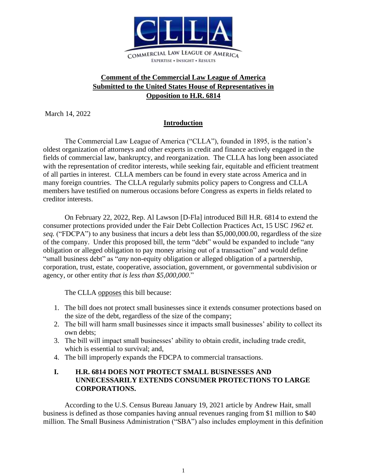

# **Comment of the Commercial Law League of America Submitted to the United States House of Representatives in Opposition to H.R. 6814**

March 14, 2022

### **Introduction**

The Commercial Law League of America ("CLLA"), founded in 1895, is the nation's oldest organization of attorneys and other experts in credit and finance actively engaged in the fields of commercial law, bankruptcy, and reorganization. The CLLA has long been associated with the representation of creditor interests, while seeking fair, equitable and efficient treatment of all parties in interest. CLLA members can be found in every state across America and in many foreign countries. The CLLA regularly submits policy papers to Congress and CLLA members have testified on numerous occasions before Congress as experts in fields related to creditor interests.

On February 22, 2022, Rep. Al Lawson [D-Fla] introduced Bill H.R. 6814 to extend the consumer protections provided under the Fair Debt Collection Practices Act, 15 USC *1962 et. seq.* ("FDCPA") to any business that incurs a debt less than \$5,000,000.00, regardless of the size of the company. Under this proposed bill, the term "debt" would be expanded to include "any obligation or alleged obligation to pay money arising out of a transaction" and would define "small business debt" as "*any* non-equity obligation or alleged obligation of a partnership, corporation, trust, estate, cooperative, association, government, or governmental subdivision or agency, or other entity *that is less than \$5,000,000*."

The CLLA opposes this bill because:

- 1. The bill does not protect small businesses since it extends consumer protections based on the size of the debt, regardless of the size of the company;
- 2. The bill will harm small businesses since it impacts small businesses' ability to collect its own debts;
- 3. The bill will impact small businesses' ability to obtain credit, including trade credit, which is essential to survival; and,
- 4. The bill improperly expands the FDCPA to commercial transactions.

#### **I. H.R. 6814 DOES NOT PROTECT SMALL BUSINESSES AND UNNECESSARILY EXTENDS CONSUMER PROTECTIONS TO LARGE CORPORATIONS.**

According to the U.S. Census Bureau January 19, 2021 article by Andrew Hait, small business is defined as those companies having annual revenues ranging from \$1 million to \$40 million. The Small Business Administration ("SBA") also includes employment in this definition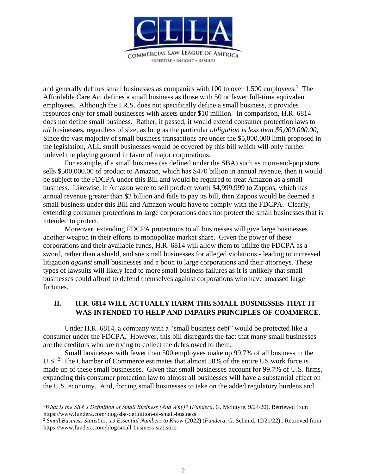

and generally defines small businesses as companies with  $100$  to over  $1,500$  employees.<sup>1</sup> The Affordable Care Act defines a small business as those with 50 or fewer full-time equivalent employees. Although the I.R.S. does not specifically define a small business, it provides resources only for small businesses with assets under \$10 million. In comparison, H.R. 6814 does not define small business. Rather, if passed, it would extend consumer protection laws to *all* businesses, regardless of size, as long as the particular *obligation is less than \$5,000,000.00*, Since the vast majority of small business transactions are under the \$5,000,000 limit proposed in the legislation, ALL small businesses would be covered by this bill which will only further unlevel the playing ground in favor of major corporations.

For example, if a small business (as defined under the SBA) such as mom-and-pop store, sells \$500,000.00 of product to Amazon, which has \$470 billion in annual revenue, then it would be subject to the FDCPA under this Bill and would be required to treat Amazon as a small business. Likewise, if Amazon were to sell product worth \$4,999,999 to Zappos, which has annual revenue greater than \$2 billion and fails to pay its bill, then Zappos would be deemed a small business under this Bill and Amazon would have to comply with the FDCPA. Clearly, extending consumer protections to large corporations does not protect the small businesses that is intended to protect.

Moreover, extending FDCPA protections to all businesses will give large businesses another weapon in their efforts to monopolize market share. Given the power of these corporations and their available funds, H.R. 6814 will allow them to utilize the FDCPA as a sword, rather than a shield, and sue small businesses for alleged violations - leading to increased litigation *against* small businesses and a boon to large corporations and their attorneys. These types of lawsuits will likely lead to more small business failures as it is unlikely that small businesses could afford to defend themselves against corporations who have amassed large fortunes.

# **II. H.R. 6814 WILL ACTUALLY HARM THE SMALL BUSINESSES THAT IT WAS INTENDED TO HELP AND IMPAIRS PRINCIPLES OF COMMERCE.**

Under H.R. 6814, a company with a "small business debt" would be protected like a consumer under the FDCPA. However, this bill disregards the fact that many small businesses are the creditors who are trying to collect the debts owed to them.

Small businesses with fewer than 500 employees make up 99.7% of all business in the U.S..<sup>2</sup> The Chamber of Commerce estimates that almost 50% of the entire US work force is made up of these small businesses. Given that small businesses account for 99.7% of U.S. firms, expanding this consumer protection law to almost all businesses will have a substantial effect on the U.S. economy. And, forcing small businesses to take on the added regulatory burdens and

<sup>1</sup>*What Is the SBA's Definition of Small Business (And Why)?* (*Fundera*, G. McIntyre, 9/24/20). Retrieved from https://www.fundera.com/blog/sba-definition-of-small-business

<sup>2</sup> *Small Business Statistics: 19 Essential Numbers to Know* (2022) (*Fundera*, G. Schmid, 12/21/22) . Retrieved from https://www.fundera.com/blog/small-business-statistics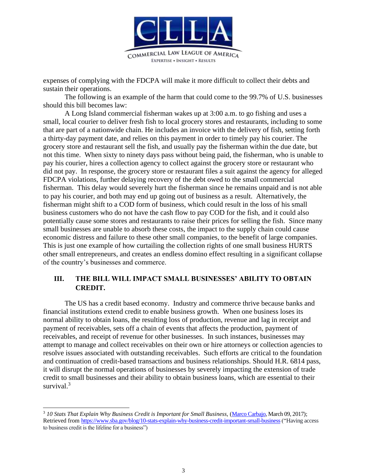

expenses of complying with the FDCPA will make it more difficult to collect their debts and sustain their operations.

The following is an example of the harm that could come to the 99.7% of U.S. businesses should this bill becomes law:

A Long Island commercial fisherman wakes up at 3:00 a.m. to go fishing and uses a small, local courier to deliver fresh fish to local grocery stores and restaurants, including to some that are part of a nationwide chain. He includes an invoice with the delivery of fish, setting forth a thirty-day payment date, and relies on this payment in order to timely pay his courier. The grocery store and restaurant sell the fish, and usually pay the fisherman within the due date, but not this time. When sixty to ninety days pass without being paid, the fisherman, who is unable to pay his courier, hires a collection agency to collect against the grocery store or restaurant who did not pay. In response, the grocery store or restaurant files a suit against the agency for alleged FDCPA violations, further delaying recovery of the debt owed to the small commercial fisherman. This delay would severely hurt the fisherman since he remains unpaid and is not able to pay his courier, and both may end up going out of business as a result. Alternatively, the fisherman might shift to a COD form of business, which could result in the loss of his small business customers who do not have the cash flow to pay COD for the fish, and it could also potentially cause some stores and restaurants to raise their prices for selling the fish. Since many small businesses are unable to absorb these costs, the impact to the supply chain could cause economic distress and failure to these other small companies, to the benefit of large companies. This is just one example of how curtailing the collection rights of one small business HURTS other small entrepreneurs, and creates an endless domino effect resulting in a significant collapse of the country's businesses and commerce.

#### **III. THE BILL WILL IMPACT SMALL BUSINESSES' ABILITY TO OBTAIN CREDIT.**

The US has a credit based economy. Industry and commerce thrive because banks and financial institutions extend credit to enable business growth. When one business loses its normal ability to obtain loans, the resulting loss of production, revenue and lag in receipt and payment of receivables, sets off a chain of events that affects the production, payment of receivables, and receipt of revenue for other businesses. In such instances, businesses may attempt to manage and collect receivables on their own or hire attorneys or collection agencies to resolve issues associated with outstanding receivables. Such efforts are critical to the foundation and continuation of credit-based transactions and business relationships. Should H.R. 6814 pass, it will disrupt the normal operations of businesses by severely impacting the extension of trade credit to small businesses and their ability to obtain business loans, which are essential to their survival.<sup>3</sup>

<sup>3</sup> *10 Stats That Explain Why Business Credit is Important for Small Business,* [\(Marco Carbajo,](https://www.sba.gov/person/marco-carbajo) March 09, 2017); Retrieved from<https://www.sba.gov/blog/10-stats-explain-why-business-credit-important-small-business> ("Having access") to business credit is the lifeline for a business")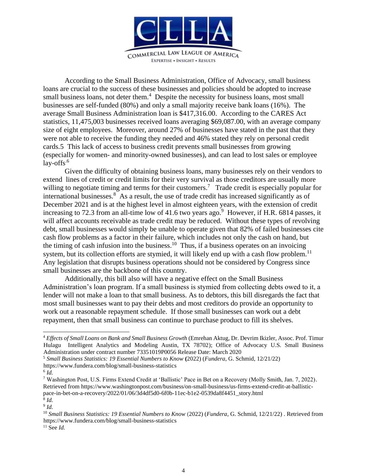

According to the Small Business Administration, Office of Advocacy, small business loans are crucial to the success of these businesses and policies should be adopted to increase small business loans, not deter them.<sup>4</sup> Despite the necessity for business loans, most small businesses are self-funded (80%) and only a small majority receive bank loans (16%). The average Small Business Administration loan is \$417,316.00. According to the CARES Act statistics, 11,475,003 businesses received loans averaging \$69,087.00, with an average company size of eight employees. Moreover, around 27% of businesses have stated in the past that they were not able to receive the funding they needed and 46% stated they rely on personal credit cards.5 This lack of access to business credit prevents small businesses from growing (especially for women- and minority-owned businesses), and can lead to lost sales or employee  $l$ ay-offs<sup>.6</sup>

Given the difficulty of obtaining business loans, many businesses rely on their vendors to extend lines of credit or credit limits for their very survival as those creditors are usually more willing to negotiate timing and terms for their customers.<sup>7</sup> Trade credit is especially popular for international businesses.<sup>8</sup> As a result, the use of trade credit has increased significantly as of December 2021 and is at the highest level in almost eighteen years, with the extension of credit increasing to 72.3 from an all-time low of 41.6 two years ago.<sup>9</sup> However, if H.R. 6814 passes, it will affect accounts receivable as trade credit may be reduced. Without these types of revolving debt, small businesses would simply be unable to operate given that 82% of failed businesses cite cash flow problems as a factor in their failure, which includes not only the cash on hand, but the timing of cash infusion into the business.<sup>10</sup> Thus, if a business operates on an invoicing system, but its collection efforts are stymied, it will likely end up with a cash flow problem.<sup>11</sup> Any legislation that disrupts business operations should not be considered by Congress since small businesses are the backbone of this country.

Additionally, this bill also will have a negative effect on the Small Business Administration's loan program. If a small business is stymied from collecting debts owed to it, a lender will not make a loan to that small business. As to debtors, this bill disregards the fact that most small businesses want to pay their debts and most creditors do provide an opportunity to work out a reasonable repayment schedule. If those small businesses can work out a debt repayment, then that small business can continue to purchase product to fill its shelves.

<sup>4</sup> *Effects of Small Loans on Bank and Small Business Growth* (Emrehan Aktug, Dr. Devrim Ikizler, Assoc. Prof. Timur Hulagu Intelligent Analytics and Modeling Austin, TX 78702); Office of Advocacy U.S. Small Business Administration under contract number 73351019P0056 Release Date: March 2020

<sup>5</sup> *Small Business Statistics: 19 Essential Numbers to Know* **(**2022) (*Fundera*, G. Schmid, 12/21/22)

https://www.fundera.com/blog/small-business-statistics

<sup>6</sup> *Id.*

<sup>7</sup> Washington Post, U.S. Firms Extend Credit at 'Ballistic' Pace in Bet on a Recovery (Molly Smith, Jan. 7, 2022). Retrieved from https://www.washingtonpost.com/business/on-small-business/us-firms-extend-credit-at-ballisticpace-in-bet-on-a-recovery/2022/01/06/3d4df5d0-6f0b-11ec-b1e2-0539da8f4451\_story.html

<sup>8</sup> *Id.* 9 *Id.*

<sup>10</sup> *Small Business Statistics: 19 Essential Numbers to Know* (2022) (*Fundera*, G. Schmid, 12/21/22) . Retrieved from https://www.fundera.com/blog/small-business-statistics

<sup>11</sup> See *Id.*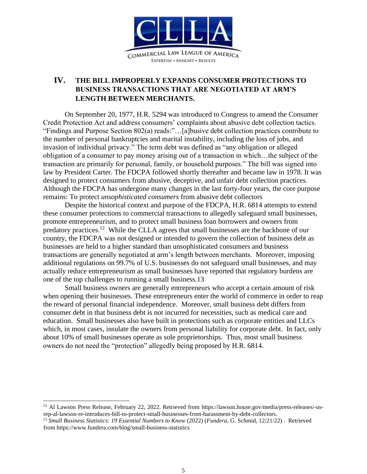

# **IV. THE BILL IMPROPERLY EXPANDS CONSUMER PROTECTIONS TO BUSINESS TRANSACTIONS THAT ARE NEGOTIATED AT ARM'S LENGTH BETWEEN MERCHANTS.**

On September 20, 1977, H.R. 5294 was introduced to Congress to amend the Consumer Credit Protection Act and address consumers' complaints about abusive debt collection tactics. "Findings and Purpose Section 802(a) reads:"…[a]busive debt collection practices contribute to the number of personal bankruptcies and marital instability, including the loss of jobs, and invasion of individual privacy." The term debt was defined as "any obligation or alleged obligation of a consumer to pay money arising out of a transaction in which…the subject of the transaction are primarily for personal, family, or household purposes." The bill was signed into law by President Carter. The FDCPA followed shortly thereafter and became law in 1978. It was designed to protect consumers from abusive, deceptive, and unfair debt collection practices. Although the FDCPA has undergone many changes in the last forty-four years, the core purpose remains: To protect *unsophisticated consumers* from abusive debt collectors

Despite the historical context and purpose of the FDCPA, H.R. 6814 attempts to extend these consumer protections to commercial transactions to allegedly safeguard small businesses, promote entrepreneurism, and to protect small business loan borrowers and owners from predatory practices.<sup>12</sup> While the CLLA agrees that small businesses are the backbone of our country, the FDCPA was not designed or intended to govern the collection of business debt as businesses are held to a higher standard than unsophisticated consumers and business transactions are generally negotiated at arm's length between merchants. Moreover, imposing additional regulations on 99.7% of U.S. businesses do not safeguard small businesses, and may actually reduce entrepreneurism as small businesses have reported that regulatory burdens are one of the top challenges to running a small business.13

Small business owners are generally entrepreneurs who accept a certain amount of risk when opening their businesses. These entrepreneurs enter the world of commerce in order to reap the reward of personal financial independence. Moreover, small business debt differs from consumer debt in that business debt is not incurred for necessities, such as medical care and education. Small businesses also have built in protections such as corporate entities and LLCs which, in most cases, insulate the owners from personal liability for corporate debt. In fact, only about 10% of small businesses operate as sole proprietorships. Thus, most small business owners do not need the "protection" allegedly being proposed by H.R. 6814.

<sup>&</sup>lt;sup>12</sup> Al Lawson Press Release, February 22, 2022. Retrieved from https://lawson.house.gov/media/press-releases/-usrep-al-lawson-re-introduces-bill-to-protect-small-businesses-from-harassment-by-debt-collectors.

<sup>13</sup> *Small Business Statistics: 19 Essential Numbers to Know* (2022) (*Fundera*, G. Schmid, 12/21/22) . Retrieved from https://www.fundera.com/blog/small-business-statistics